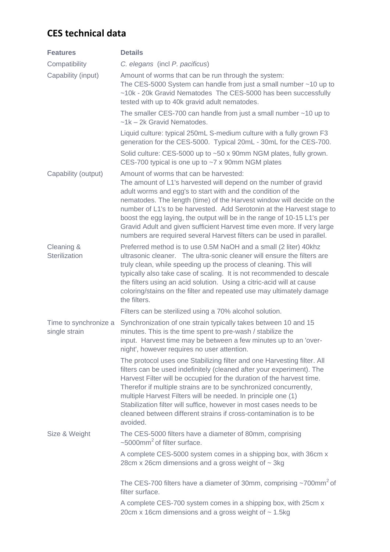## **CES technical data**

| <b>Features</b>                        | <b>Details</b>                                                                                                                                                                                                                                                                                                                                                                                                                                                                                                                                              |
|----------------------------------------|-------------------------------------------------------------------------------------------------------------------------------------------------------------------------------------------------------------------------------------------------------------------------------------------------------------------------------------------------------------------------------------------------------------------------------------------------------------------------------------------------------------------------------------------------------------|
| Compatibility                          | C. elegans (incl P. pacificus)                                                                                                                                                                                                                                                                                                                                                                                                                                                                                                                              |
| Capability (input)                     | Amount of worms that can be run through the system:<br>The CES-5000 System can handle from just a small number $~10$ up to<br>~10k - 20k Gravid Nematodes The CES-5000 has been successfully<br>tested with up to 40k gravid adult nematodes.                                                                                                                                                                                                                                                                                                               |
|                                        | The smaller CES-700 can handle from just a small number $~10$ up to<br>~1k - 2k Gravid Nematodes.                                                                                                                                                                                                                                                                                                                                                                                                                                                           |
|                                        | Liquid culture: typical 250mL S-medium culture with a fully grown F3<br>generation for the CES-5000. Typical 20mL - 30mL for the CES-700.                                                                                                                                                                                                                                                                                                                                                                                                                   |
|                                        | Solid culture: CES-5000 up to ~50 x 90mm NGM plates, fully grown.<br>CES-700 typical is one up to $\sim$ 7 x 90mm NGM plates                                                                                                                                                                                                                                                                                                                                                                                                                                |
| Capability (output)                    | Amount of worms that can be harvested:<br>The amount of L1's harvested will depend on the number of gravid<br>adult worms and egg's to start with and the condition of the<br>nematodes. The length (time) of the Harvest window will decide on the<br>number of L1's to be harvested. Add Serotonin at the Harvest stage to<br>boost the egg laying, the output will be in the range of 10-15 L1's per<br>Gravid Adult and given sufficient Harvest time even more. If very large<br>numbers are required several Harvest filters can be used in parallel. |
| Cleaning &<br>Sterilization            | Preferred method is to use 0.5M NaOH and a small (2 liter) 40khz<br>ultrasonic cleaner. The ultra-sonic cleaner will ensure the filters are<br>truly clean, while speeding up the process of cleaning. This will<br>typically also take case of scaling. It is not recommended to descale<br>the filters using an acid solution. Using a citric-acid will at cause<br>coloring/stains on the filter and repeated use may ultimately damage<br>the filters.                                                                                                  |
|                                        | Filters can be sterilized using a 70% alcohol solution.                                                                                                                                                                                                                                                                                                                                                                                                                                                                                                     |
| Time to synchronize a<br>single strain | Synchronization of one strain typically takes between 10 and 15<br>minutes. This is the time spent to pre-wash / stabilize the<br>input. Harvest time may be between a few minutes up to an 'over-<br>night', however requires no user attention.                                                                                                                                                                                                                                                                                                           |
|                                        | The protocol uses one Stabilizing filter and one Harvesting filter. All<br>filters can be used indefinitely (cleaned after your experiment). The<br>Harvest Filter will be occupied for the duration of the harvest time.<br>Therefor if multiple strains are to be synchronized concurrently,<br>multiple Harvest Filters will be needed. In principle one (1)<br>Stabilization filter will suffice, however in most cases needs to be<br>cleaned between different strains if cross-contamination is to be<br>avoided.                                    |
| Size & Weight                          | The CES-5000 filters have a diameter of 80mm, comprising<br>$\sim$ 5000mm <sup>2</sup> of filter surface.                                                                                                                                                                                                                                                                                                                                                                                                                                                   |
|                                        | A complete CES-5000 system comes in a shipping box, with 36cm x<br>28cm x 26cm dimensions and a gross weight of $\sim$ 3kg                                                                                                                                                                                                                                                                                                                                                                                                                                  |
|                                        | The CES-700 filters have a diameter of 30mm, comprising $\sim$ 700mm <sup>2</sup> of<br>filter surface.                                                                                                                                                                                                                                                                                                                                                                                                                                                     |
|                                        | A complete CES-700 system comes in a shipping box, with 25cm x<br>20cm x 16cm dimensions and a gross weight of $\sim$ 1.5kg                                                                                                                                                                                                                                                                                                                                                                                                                                 |